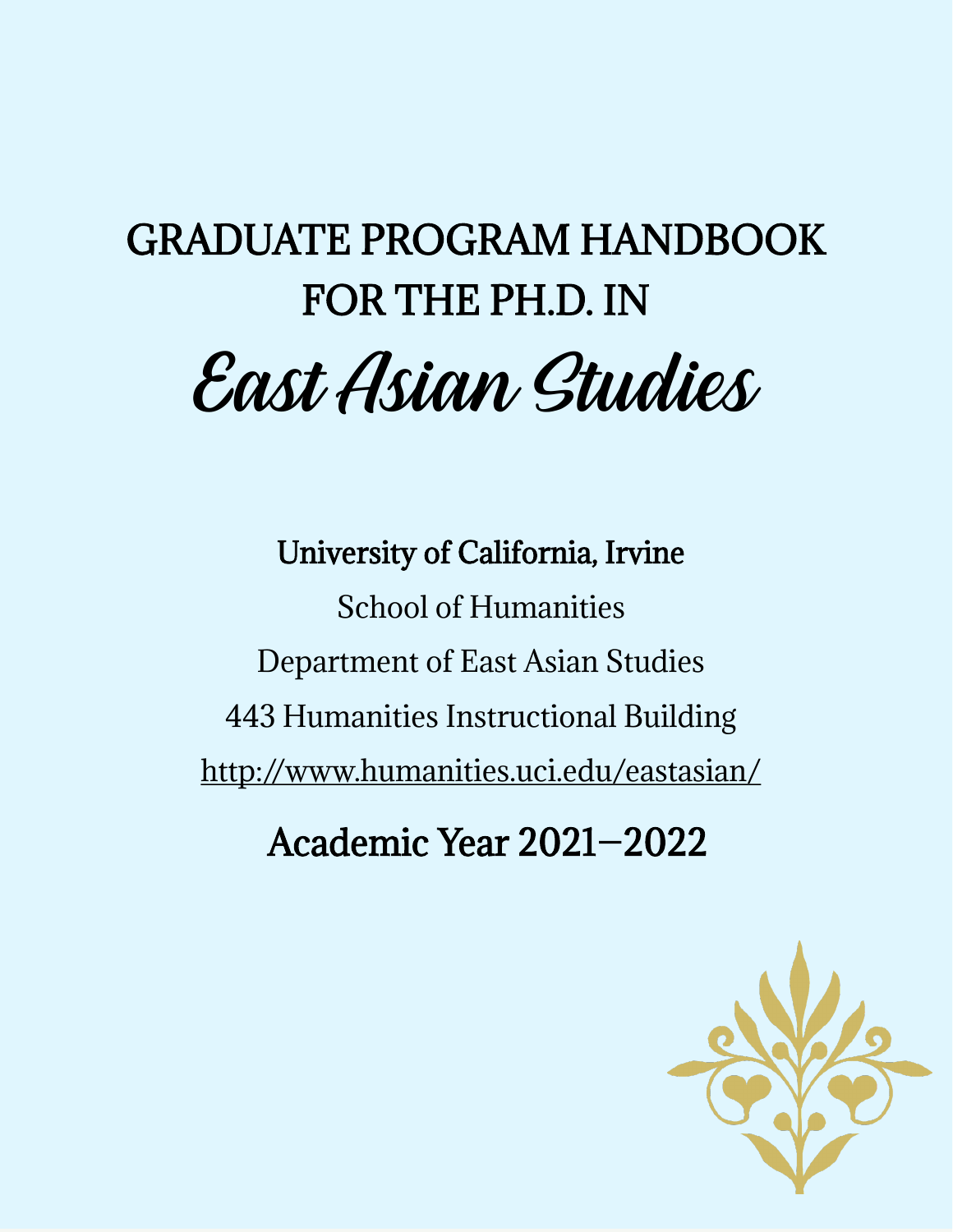# GRADUATE PROGRAM HANDBOOK FOR THE PH.D. IN East Asian Studies

University of California, Irvine School of Humanities Department of East Asian Studies 443 Humanities Instructional Building <http://www.humanities.uci.edu/eastasian/>

Academic Year 2021—2022

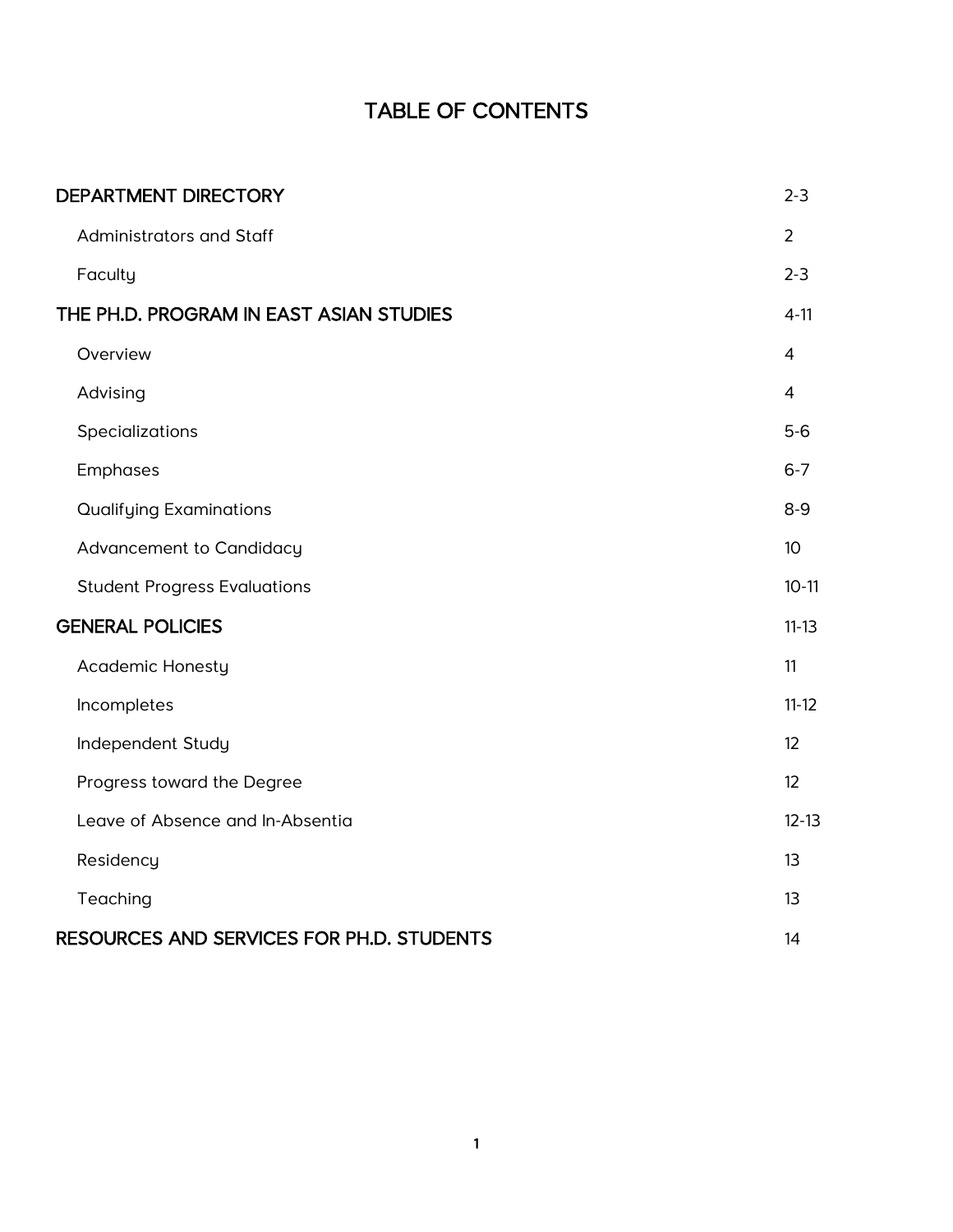# TABLE OF CONTENTS

| <b>DEPARTMENT DIRECTORY</b>               | $2 - 3$          |
|-------------------------------------------|------------------|
| Administrators and Staff                  | $\overline{2}$   |
| Faculty                                   | $2 - 3$          |
| THE PH.D. PROGRAM IN EAST ASIAN STUDIES   | $4 - 11$         |
| Overview                                  | $\overline{4}$   |
| Advising                                  | $\overline{4}$   |
| Specializations                           | $5-6$            |
| Emphases                                  | $6 - 7$          |
| <b>Qualifying Examinations</b>            | $8 - 9$          |
| Advancement to Candidacy                  | 10 <sup>10</sup> |
| <b>Student Progress Evaluations</b>       | $10-11$          |
| <b>GENERAL POLICIES</b>                   | $11 - 13$        |
| <b>Academic Honesty</b>                   | 11               |
| Incompletes                               | $11 - 12$        |
| Independent Study                         | 12               |
| Progress toward the Degree                | 12               |
| Leave of Absence and In-Absentia          | $12 - 13$        |
| Residency                                 | 13               |
| Teaching                                  | 13               |
| RESOURCES AND SERVICES FOR PH.D. STUDENTS | 14               |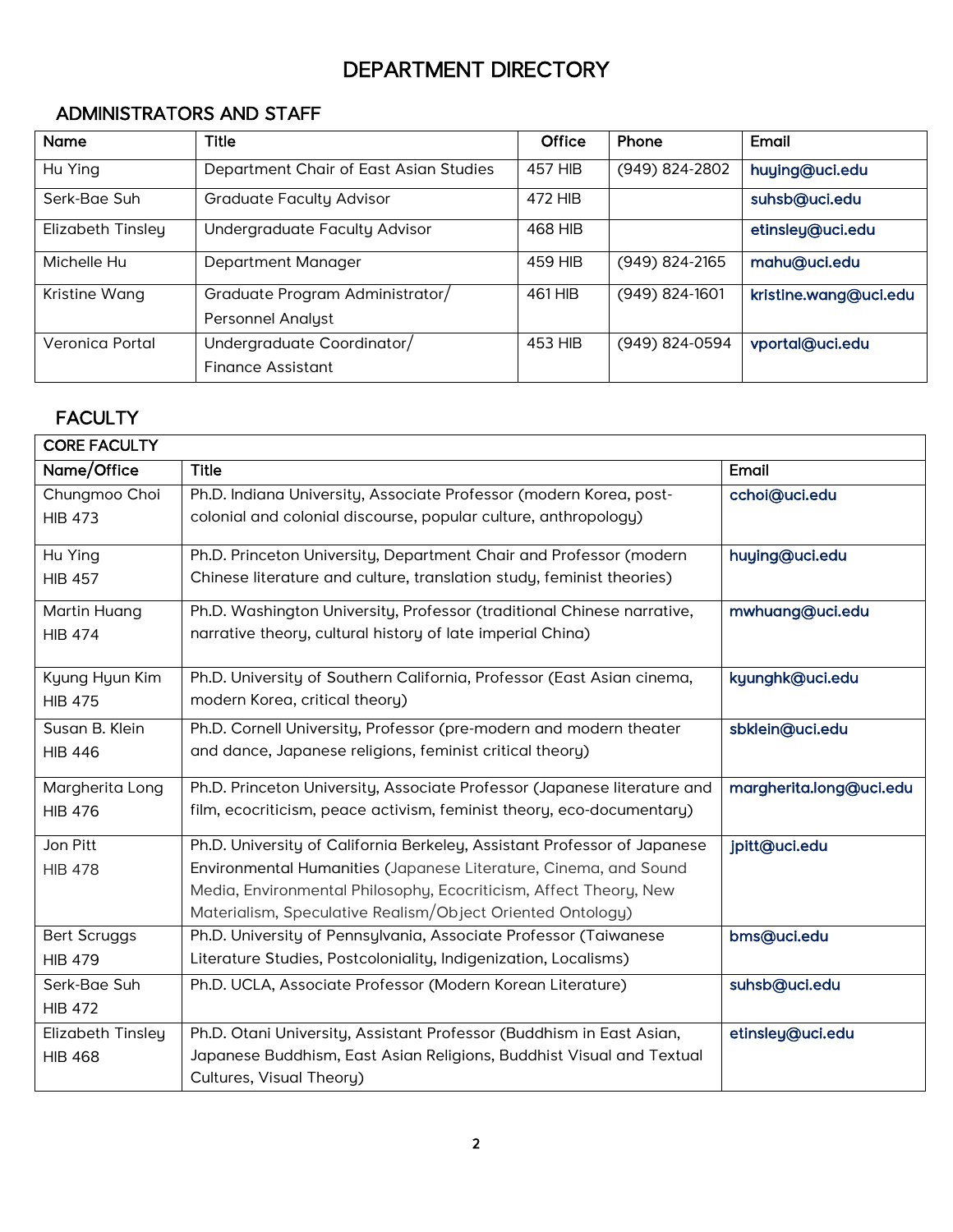# DEPARTMENT DIRECTORY

# <span id="page-2-0"></span>ADMINISTRATORS AND STAFF

| <b>Name</b>       | <b>Title</b>                           | <b>Office</b>  | Phone              | Email                 |
|-------------------|----------------------------------------|----------------|--------------------|-----------------------|
| Hu Ying           | Department Chair of East Asian Studies | <b>457 HIB</b> | (949) 824-2802     | huying@uci.edu        |
| Serk-Bae Suh      | <b>Graduate Faculty Advisor</b>        | 472 HIB        |                    | suhsb@uci.edu         |
| Elizabeth Tinsley | Undergraduate Faculty Advisor          | 468 HIB        |                    | etinsley@uci.edu      |
| Michelle Hu       | Department Manager                     | 459 HIB        | $(949) 824 - 2165$ | mahu@uci.edu          |
| Kristine Wang     | Graduate Program Administrator/        | 461 HIB        | $(949)$ 824-1601   | kristine.wang@uci.edu |
|                   | <b>Personnel Analyst</b>               |                |                    |                       |
| Veronica Portal   | Undergraduate Coordinator/             | 453 HIB        | (949) 824-0594     | vportal@uci.edu       |
|                   | Finance Assistant                      |                |                    |                       |

# **FACULTY**

| <b>CORE FACULTY</b> |                                                                          |                         |
|---------------------|--------------------------------------------------------------------------|-------------------------|
| Name/Office         | <b>Title</b>                                                             | Email                   |
| Chungmoo Choi       | Ph.D. Indiana University, Associate Professor (modern Korea, post-       | cchoi@uci.edu           |
| <b>HIB 473</b>      | colonial and colonial discourse, popular culture, anthropology)          |                         |
| Hu Ying             | Ph.D. Princeton University, Department Chair and Professor (modern       | huying@uci.edu          |
| <b>HIB 457</b>      | Chinese literature and culture, translation study, feminist theories)    |                         |
| Martin Huang        | Ph.D. Washington University, Professor (traditional Chinese narrative,   | mwhuang@uci.edu         |
| <b>HIB 474</b>      | narrative theory, cultural history of late imperial China)               |                         |
| Kyung Hyun Kim      | Ph.D. University of Southern California, Professor (East Asian cinema,   | kyunghk@uci.edu         |
| <b>HIB 475</b>      | modern Korea, critical theory)                                           |                         |
| Susan B. Klein      | Ph.D. Cornell University, Professor (pre-modern and modern theater       | sbklein@uci.edu         |
| <b>HIB 446</b>      | and dance, Japanese religions, feminist critical theory)                 |                         |
| Margherita Long     | Ph.D. Princeton University, Associate Professor (Japanese literature and | margherita.long@uci.edu |
| <b>HIB 476</b>      | film, ecocriticism, peace activism, feminist theory, eco-documentary)    |                         |
| Jon Pitt            | Ph.D. University of California Berkeley, Assistant Professor of Japanese | jpitt@uci.edu           |
| <b>HIB 478</b>      | Environmental Humanities (Japanese Literature, Cinema, and Sound         |                         |
|                     | Media, Environmental Philosophy, Ecocriticism, Affect Theory, New        |                         |
|                     | Materialism, Speculative Realism/Object Oriented Ontology)               |                         |
| <b>Bert Scruggs</b> | Ph.D. University of Pennsylvania, Associate Professor (Taiwanese         | bms@uci.edu             |
| <b>HIB 479</b>      | Literature Studies, Postcoloniality, Indigenization, Localisms)          |                         |
| Serk-Bae Suh        | Ph.D. UCLA, Associate Professor (Modern Korean Literature)               | suhsb@uci.edu           |
| <b>HIB 472</b>      |                                                                          |                         |
| Elizabeth Tinsley   | Ph.D. Otani University, Assistant Professor (Buddhism in East Asian,     | etinsley@uci.edu        |
| <b>HIB 468</b>      | Japanese Buddhism, East Asian Religions, Buddhist Visual and Textual     |                         |
|                     | Cultures, Visual Theory)                                                 |                         |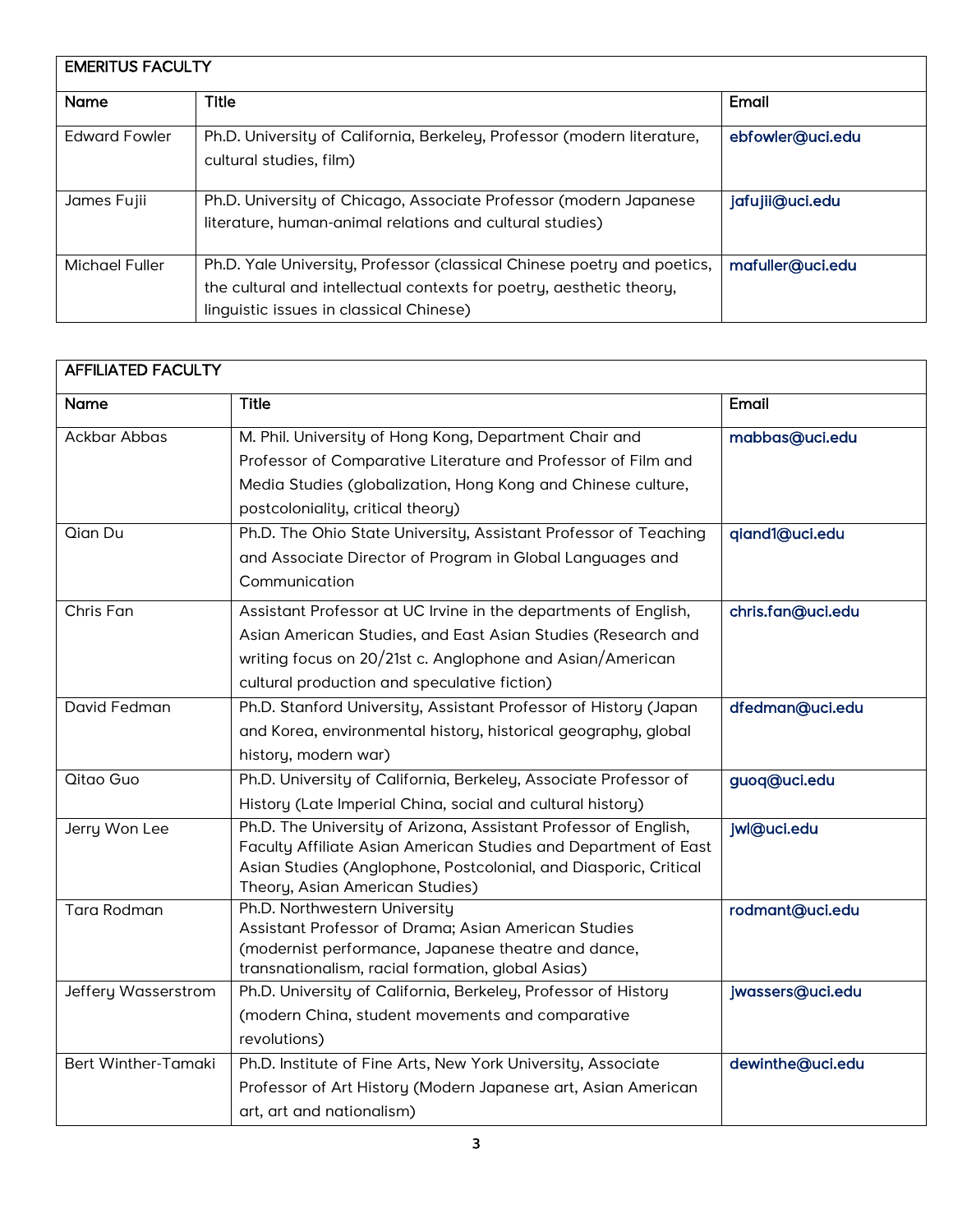| <b>EMERITUS FACULTY</b> |                                                                                                                                                                                            |                  |  |
|-------------------------|--------------------------------------------------------------------------------------------------------------------------------------------------------------------------------------------|------------------|--|
| <b>Name</b>             | <b>Title</b>                                                                                                                                                                               | Email            |  |
| <b>Edward Fowler</b>    | Ph.D. University of California, Berkeley, Professor (modern literature,<br>cultural studies, film)                                                                                         | ebfowler@uci.edu |  |
| James Fujii             | Ph.D. University of Chicago, Associate Professor (modern Japanese<br>literature, human-animal relations and cultural studies)                                                              | jafujii@uci.edu  |  |
| Michael Fuller          | Ph.D. Yale University, Professor (classical Chinese poetry and poetics,<br>the cultural and intellectual contexts for poetry, aesthetic theory,<br>linguistic issues in classical Chinese) | mafuller@uci.edu |  |

| <b>AFFILIATED FACULTY</b> |                                                                                                                                                                                                                                              |                   |
|---------------------------|----------------------------------------------------------------------------------------------------------------------------------------------------------------------------------------------------------------------------------------------|-------------------|
| <b>Name</b>               | <b>Title</b>                                                                                                                                                                                                                                 | Email             |
| Ackbar Abbas              | M. Phil. University of Hong Kong, Department Chair and<br>Professor of Comparative Literature and Professor of Film and<br>Media Studies (globalization, Hong Kong and Chinese culture,<br>postcoloniality, critical theory)                 | mabbas@uci.edu    |
| Qian Du                   | Ph.D. The Ohio State University, Assistant Professor of Teaching<br>and Associate Director of Program in Global Languages and<br>Communication                                                                                               | qiand1@uci.edu    |
| Chris Fan                 | Assistant Professor at UC Irvine in the departments of English,<br>Asian American Studies, and East Asian Studies (Research and<br>writing focus on 20/21st c. Anglophone and Asian/American<br>cultural production and speculative fiction) | chris.fan@uci.edu |
| David Fedman              | Ph.D. Stanford University, Assistant Professor of History (Japan<br>and Korea, environmental history, historical geography, global<br>history, modern war)                                                                                   | dfedman@uci.edu   |
| Qitao Guo                 | Ph.D. University of California, Berkeley, Associate Professor of<br>History (Late Imperial China, social and cultural history)                                                                                                               | guoq@uci.edu      |
| Jerry Won Lee             | Ph.D. The University of Arizona, Assistant Professor of English,<br>Faculty Affiliate Asian American Studies and Department of East<br>Asian Studies (Anglophone, Postcolonial, and Diasporic, Critical<br>Theory, Asian American Studies)   | jwl@uci.edu       |
| <b>Tara Rodman</b>        | Ph.D. Northwestern University<br>Assistant Professor of Drama; Asian American Studies<br>(modernist performance, Japanese theatre and dance,<br>transnationalism, racial formation, global Asias)                                            | rodmant@uci.edu   |
| Jeffery Wasserstrom       | Ph.D. University of California, Berkeley, Professor of History<br>(modern China, student movements and comparative<br>revolutions)                                                                                                           | jwassers@uci.edu  |
| Bert Winther-Tamaki       | Ph.D. Institute of Fine Arts, New York University, Associate<br>Professor of Art History (Modern Japanese art, Asian American<br>art, art and nationalism)                                                                                   | dewinthe@uci.edu  |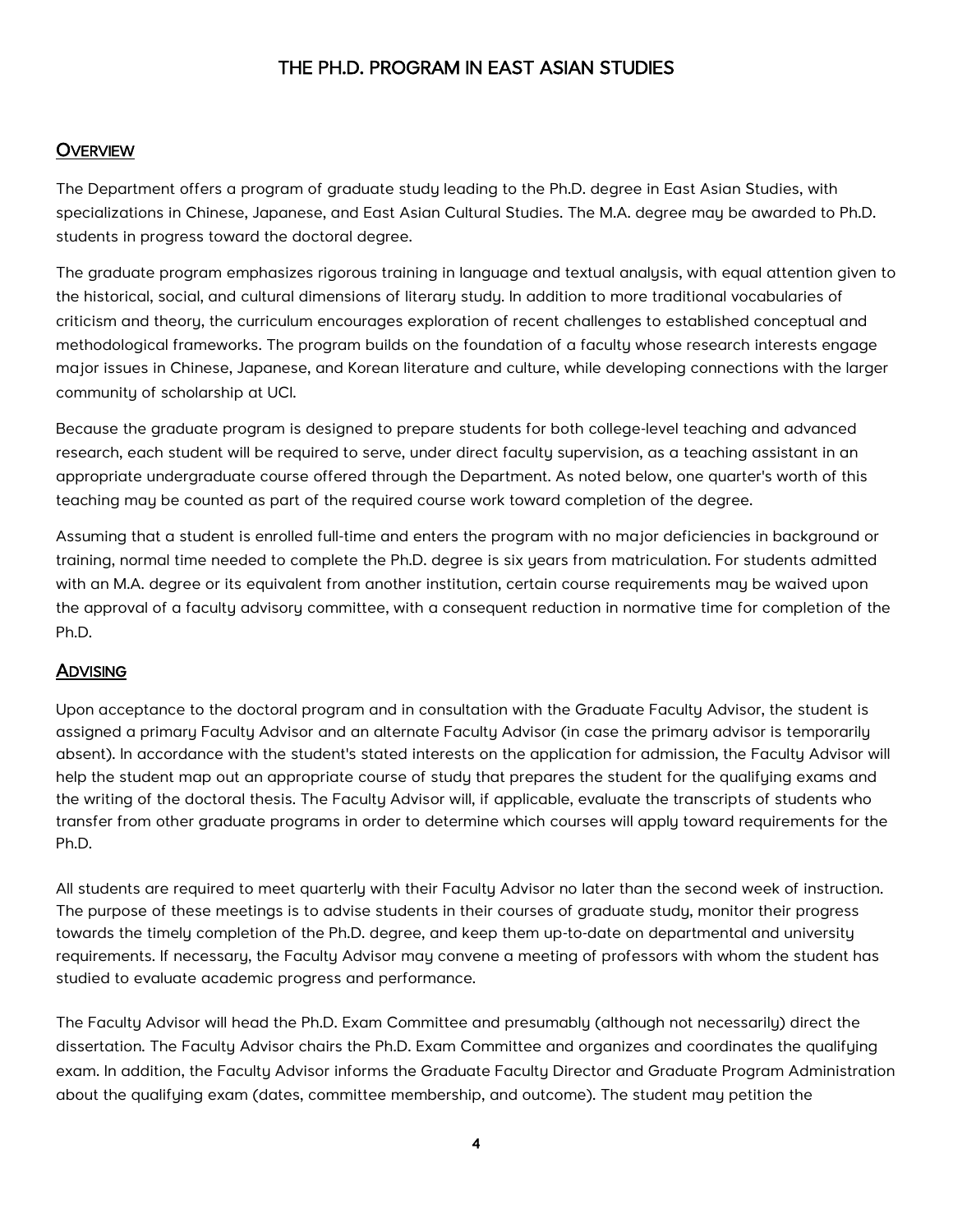# THE PH.D. PROGRAM IN EAST ASIAN STUDIES

#### <span id="page-4-0"></span>**OVERVIEW**

The Department offers a program of graduate study leading to the Ph.D. degree in East Asian Studies, with specializations in Chinese, Japanese, and East Asian Cultural Studies. The M.A. degree may be awarded to Ph.D. students in progress toward the doctoral degree.

The graduate program emphasizes rigorous training in language and textual analysis, with equal attention given to the historical, social, and cultural dimensions of literary study. In addition to more traditional vocabularies of criticism and theory, the curriculum encourages exploration of recent challenges to established conceptual and methodological frameworks. The program builds on the foundation of a faculty whose research interests engage major issues in Chinese, Japanese, and Korean literature and culture, while developing connections with the larger community of scholarship at UCI.

Because the graduate program is designed to prepare students for both college-level teaching and advanced research, each student will be required to serve, under direct faculty supervision, as a teaching assistant in an appropriate undergraduate course offered through the Department. As noted below, one quarter's worth of this teaching may be counted as part of the required course work toward completion of the degree.

Assuming that a student is enrolled full-time and enters the program with no major deficiencies in background or training, normal time needed to complete the Ph.D. degree is six years from matriculation. For students admitted with an M.A. degree or its equivalent from another institution, certain course requirements may be waived upon the approval of a faculty advisory committee, with a consequent reduction in normative time for completion of the Ph.D.

#### **ADVISING**

Upon acceptance to the doctoral program and in consultation with the Graduate Faculty Advisor, the student is assigned a primary Faculty Advisor and an alternate Faculty Advisor (in case the primary advisor is temporarily absent). In accordance with the student's stated interests on the application for admission, the Faculty Advisor will help the student map out an appropriate course of study that prepares the student for the qualifying exams and the writing of the doctoral thesis. The Faculty Advisor will, if applicable, evaluate the transcripts of students who transfer from other graduate programs in order to determine which courses will apply toward requirements for the Ph.D.

All students are required to meet quarterly with their Faculty Advisor no later than the second week of instruction. The purpose of these meetings is to advise students in their courses of graduate study, monitor their progress towards the timely completion of the Ph.D. degree, and keep them up-to-date on departmental and university requirements. If necessary, the Faculty Advisor may convene a meeting of professors with whom the student has studied to evaluate academic progress and performance.

The Faculty Advisor will head the Ph.D. Exam Committee and presumably (although not necessarily) direct the dissertation. The Faculty Advisor chairs the Ph.D. Exam Committee and organizes and coordinates the qualifying exam. In addition, the Faculty Advisor informs the Graduate Faculty Director and Graduate Program Administration about the qualifying exam (dates, committee membership, and outcome). The student may petition the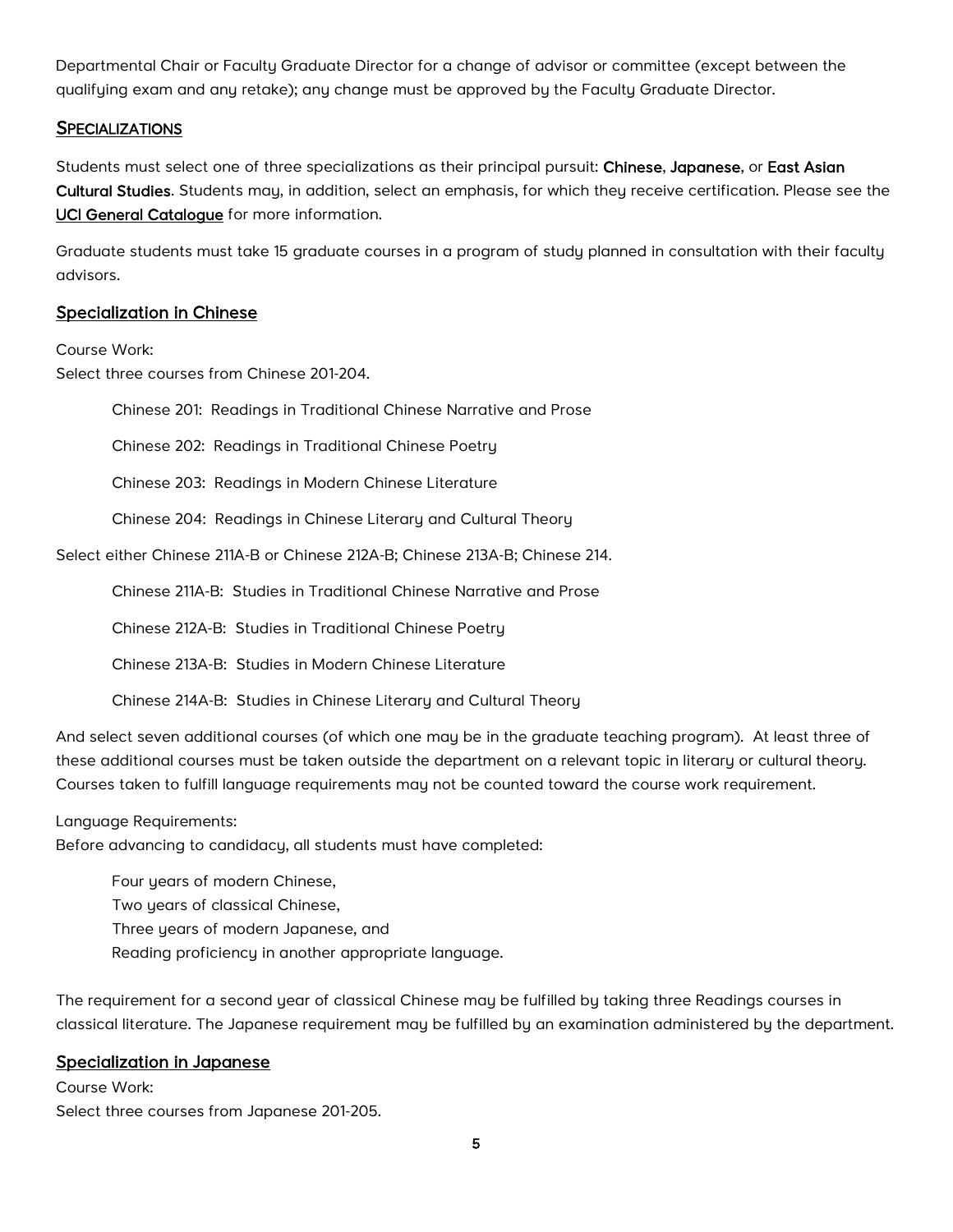<span id="page-5-0"></span>Departmental Chair or Faculty Graduate Director for a change of advisor or committee (except between the qualifying exam and any retake); any change must be approved by the Faculty Graduate Director.

#### **SPECIALIZATIONS**

Students must select one of three specializations as their principal pursuit: Chinese, Japanese, or East Asian Cultural Studies. Students may, in addition, select an emphasis, for which they receive certification. Please see the [UCI General Catalogue](http://catalogue.uci.edu/schoolofhumanities/departmentofeastasianstudies/#graduatetext) for more information.

Graduate students must take 15 graduate courses in a program of study planned in consultation with their faculty advisors.

#### Specialization in Chinese

Course Work:

Select three courses from Chinese 201-204.

Chinese 201: Readings in Traditional Chinese Narrative and Prose

Chinese 202: Readings in Traditional Chinese Poetry

Chinese 203: Readings in Modern Chinese Literature

Chinese 204: Readings in Chinese Literary and Cultural Theory

Select either Chinese 211A-B or Chinese 212A-B; Chinese 213A-B; Chinese 214.

Chinese 211A-B: Studies in Traditional Chinese Narrative and Prose

Chinese 212A-B: Studies in Traditional Chinese Poetry

Chinese 213A-B: Studies in Modern Chinese Literature

Chinese 214A-B: Studies in Chinese Literary and Cultural Theory

And select seven additional courses (of which one may be in the graduate teaching program). At least three of these additional courses must be taken outside the department on a relevant topic in literary or cultural theory. Courses taken to fulfill language requirements may not be counted toward the course work requirement.

Language Requirements:

Before advancing to candidacy, all students must have completed:

Four years of modern Chinese,

Two years of classical Chinese,

Three years of modern Japanese, and

Reading proficiency in another appropriate language.

The requirement for a second year of classical Chinese may be fulfilled by taking three Readings courses in classical literature. The Japanese requirement may be fulfilled by an examination administered by the department.

#### Specialization in Japanese

Course Work: Select three courses from Japanese 201-205.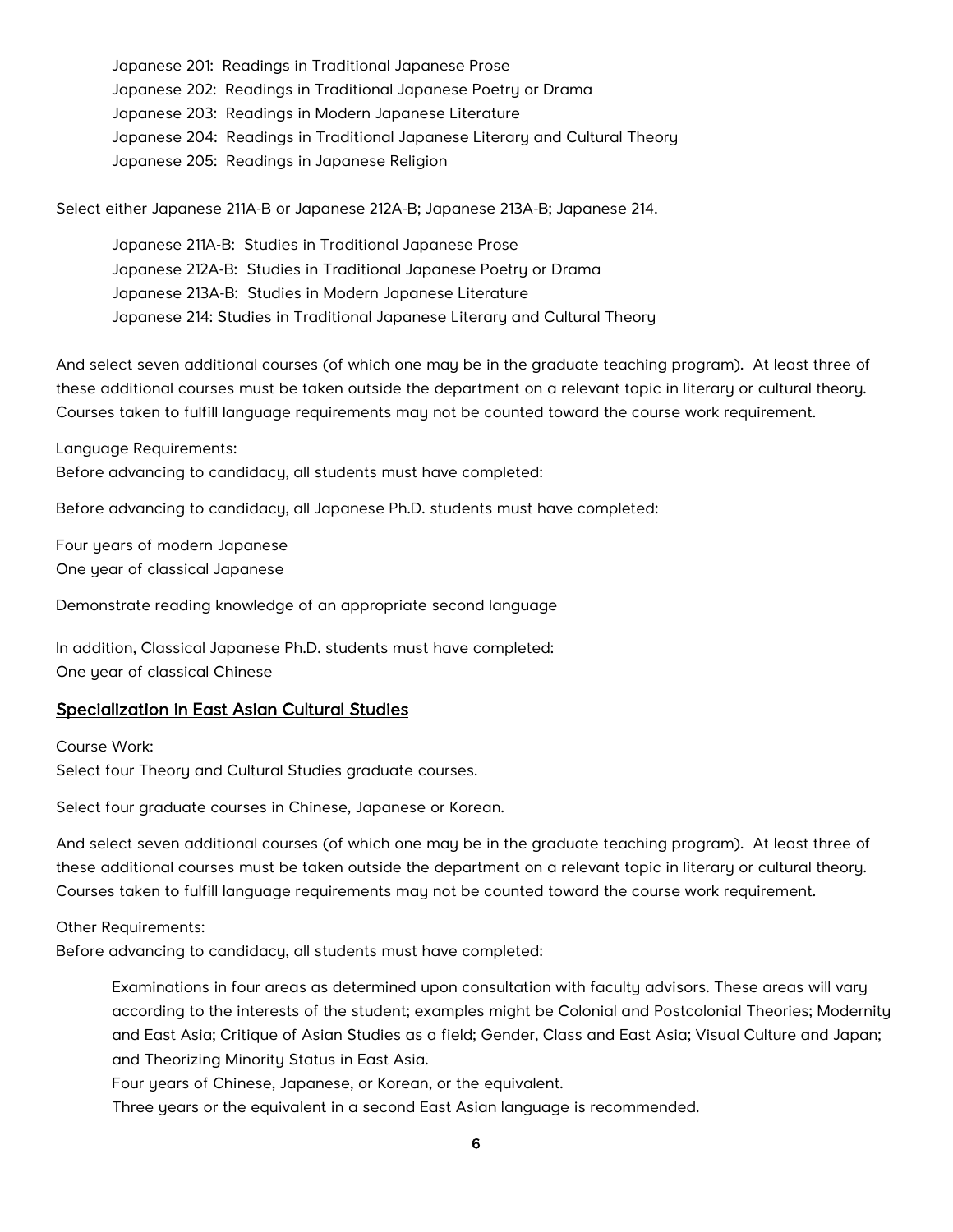Japanese 201: Readings in Traditional Japanese Prose Japanese 202: Readings in Traditional Japanese Poetry or Drama Japanese 203: Readings in Modern Japanese Literature Japanese 204: Readings in Traditional Japanese Literary and Cultural Theory Japanese 205: Readings in Japanese Religion

Select either Japanese 211A-B or Japanese 212A-B; Japanese 213A-B; Japanese 214.

Japanese 211A-B: Studies in Traditional Japanese Prose Japanese 212A-B: Studies in Traditional Japanese Poetry or Drama Japanese 213A-B: Studies in Modern Japanese Literature Japanese 214: Studies in Traditional Japanese Literary and Cultural Theory

And select seven additional courses (of which one may be in the graduate teaching program). At least three of these additional courses must be taken outside the department on a relevant topic in literary or cultural theory. Courses taken to fulfill language requirements may not be counted toward the course work requirement.

Language Requirements:

Before advancing to candidacy, all students must have completed:

Before advancing to candidacy, all Japanese Ph.D. students must have completed:

Four years of modern Japanese One year of classical Japanese

Demonstrate reading knowledge of an appropriate second language

In addition, Classical Japanese Ph.D. students must have completed: One year of classical Chinese

#### Specialization in East Asian Cultural Studies

Course Work: Select four Theory and Cultural Studies graduate courses.

Select four graduate courses in Chinese, Japanese or Korean.

And select seven additional courses (of which one may be in the graduate teaching program). At least three of these additional courses must be taken outside the department on a relevant topic in literary or cultural theory. Courses taken to fulfill language requirements may not be counted toward the course work requirement.

Other Requirements:

Before advancing to candidacy, all students must have completed:

Examinations in four areas as determined upon consultation with faculty advisors. These areas will vary according to the interests of the student; examples might be Colonial and Postcolonial Theories; Modernity and East Asia; Critique of Asian Studies as a field; Gender, Class and East Asia; Visual Culture and Japan; and Theorizing Minority Status in East Asia.

Four years of Chinese, Japanese, or Korean, or the equivalent.

Three years or the equivalent in a second East Asian language is recommended.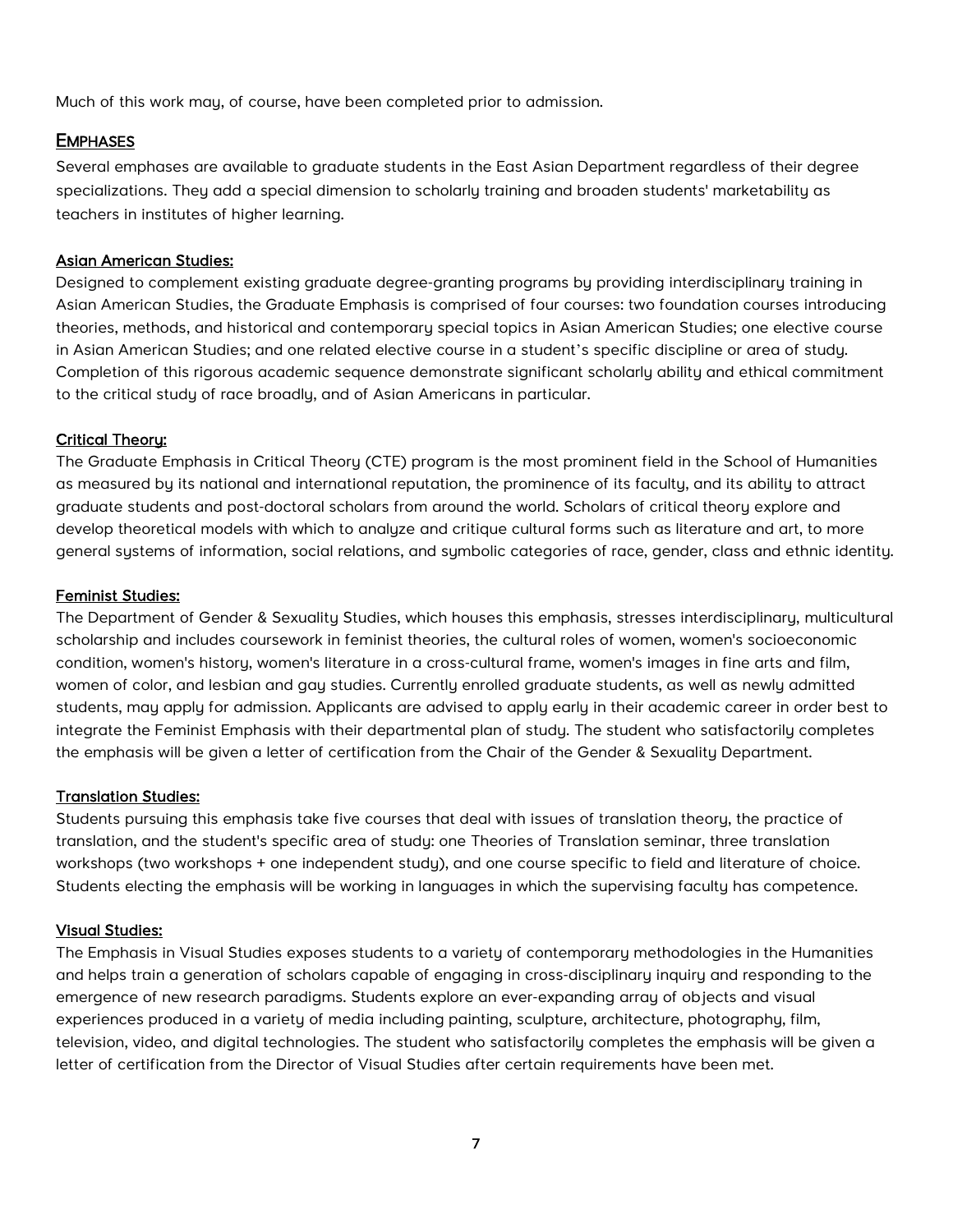<span id="page-7-0"></span>Much of this work may, of course, have been completed prior to admission.

#### **EMPHASES**

Several emphases are available to graduate students in the East Asian Department regardless of their degree specializations. They add a special dimension to scholarly training and broaden students' marketability as teachers in institutes of higher learning.

#### Asian American Studies:

Designed to complement existing graduate degree-granting programs by providing interdisciplinary training in Asian American Studies, the Graduate Emphasis is comprised of four courses: two foundation courses introducing theories, methods, and historical and contemporary special topics in Asian American Studies; one elective course in Asian American Studies; and one related elective course in a student's specific discipline or area of study. Completion of this rigorous academic sequence demonstrate significant scholarly ability and ethical commitment to the critical study of race broadly, and of Asian Americans in particular.

#### Critical Theory:

The Graduate Emphasis in Critical Theory (CTE) program is the most prominent field in the School of Humanities as measured by its national and international reputation, the prominence of its faculty, and its ability to attract graduate students and post-doctoral scholars from around the world. Scholars of critical theory explore and develop theoretical models with which to analyze and critique cultural forms such as literature and art, to more general systems of information, social relations, and symbolic categories of race, gender, class and ethnic identity.

#### Feminist Studies:

The Department of Gender & Sexuality Studies, which houses this emphasis, stresses interdisciplinary, multicultural scholarship and includes coursework in feminist theories, the cultural roles of women, women's socioeconomic condition, women's history, women's literature in a cross-cultural frame, women's images in fine arts and film, women of color, and lesbian and gay studies. Currently enrolled graduate students, as well as newly admitted students, may apply for admission. Applicants are advised to apply early in their academic career in order best to integrate the Feminist Emphasis with their departmental plan of study. The student who satisfactorily completes the emphasis will be given a letter of certification from the Chair of the Gender & Sexuality Department.

#### Translation Studies:

Students pursuing this emphasis take five courses that deal with issues of translation theory, the practice of translation, and the student's specific area of study: one Theories of Translation seminar, three translation workshops (two workshops + one independent study), and one course specific to field and literature of choice. Students electing the emphasis will be working in languages in which the supervising faculty has competence.

#### Visual Studies:

The Emphasis in Visual Studies exposes students to a varietu of contemporary methodologies in the Humanities and helps train a generation of scholars capable of engaging in cross-disciplinary inquiry and responding to the emergence of new research paradigms. Students explore an ever-expanding array of objects and visual experiences produced in a variety of media including painting, sculpture, architecture, photography, film, television, video, and digital technologies. The student who satisfactorily completes the emphasis will be given a letter of certification from the Director of Visual Studies after certain requirements have been met.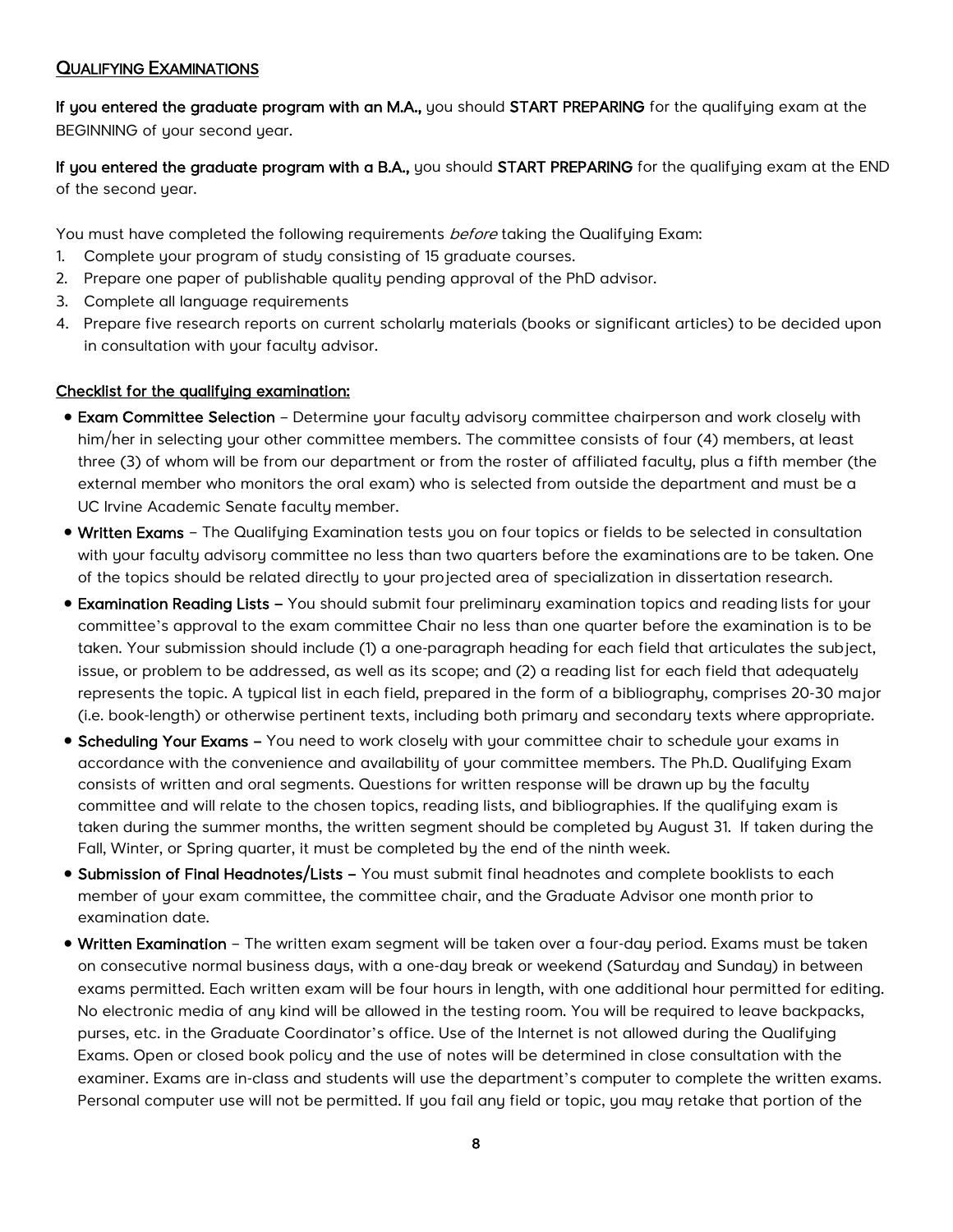#### <span id="page-8-0"></span>QUALIFYING EXAMINATIONS

If you entered the graduate program with an M.A., you should START PREPARING for the qualifying exam at the BEGINNING of your second year.

If you entered the graduate program with a B.A., you should START PREPARING for the qualifying exam at the END of the second year.

You must have completed the following requirements *before* taking the Qualifying Exam:

- 1. Complete your program of study consisting of 15 graduate courses.
- 2. Prepare one paper of publishable quality pending approval of the PhD advisor.
- 3. Complete all language requirements
- 4. Prepare five research reports on current scholarly materials (books or significant articles) to be decided upon in consultation with your faculty advisor.

#### Checklist for the qualifying examination:

- Exam Committee Selection Determine your faculty advisory committee chairperson and work closely with him/her in selecting your other committee members. The committee consists of four (4) members, at least three (3) of whom will be from our department or from the roster of affiliated faculty, plus a fifth member (the external member who monitors the oral exam) who is selected from outside the department and must be a UC Irvine Academic Senate faculty member.
- Written Exams The Qualifying Examination tests you on four topics or fields to be selected in consultation with your faculty advisory committee no less than two quarters before the examinations are to be taken. One of the topics should be related directly to your projected area of specialization in dissertation research.
- Examination Reading Lists You should submit four preliminary examination topics and reading lists for your committee's approval to the exam committee Chair no less than one quarter before the examination is to be taken. Your submission should include (1) a one-paragraph heading for each field that articulates the subject, issue, or problem to be addressed, as well as its scope; and (2) a reading list for each field that adequately represents the topic. A typical list in each field, prepared in the form of a bibliography, comprises 20-30 major (i.e. book-length) or otherwise pertinent texts, including both primary and secondary texts where appropriate.
- Scheduling Your Exams You need to work closely with your committee chair to schedule your exams in accordance with the convenience and availability of your committee members. The Ph.D. Qualifying Exam consists of written and oral segments. Questions for written response will be drawn up by the faculty committee and will relate to the chosen topics, reading lists, and bibliographies. If the qualifying exam is taken during the summer months, the written segment should be completed by August 31. If taken during the Fall, Winter, or Spring quarter, it must be completed by the end of the ninth week.
- Submission of Final Headnotes/Lists You must submit final headnotes and complete booklists to each member of your exam committee, the committee chair, and the Graduate Advisor one month prior to examination date.
- Written Examination The written exam segment will be taken over a four-day period. Exams must be taken on consecutive normal business days, with a one-day break or weekend (Saturday and Sunday) in between exams permitted. Each written exam will be four hours in length, with one additional hour permitted for editing. No electronic media of any kind will be allowed in the testing room. You will be required to leave backpacks, purses, etc. in the Graduate Coordinator's office. Use of the Internet is not allowed during the Qualifying Exams. Open or closed book policy and the use of notes will be determined in close consultation with the examiner. Exams are in-class and students will use the department's computer to complete the written exams. Personal computer use will not be permitted. If you fail any field or topic, you may retake that portion of the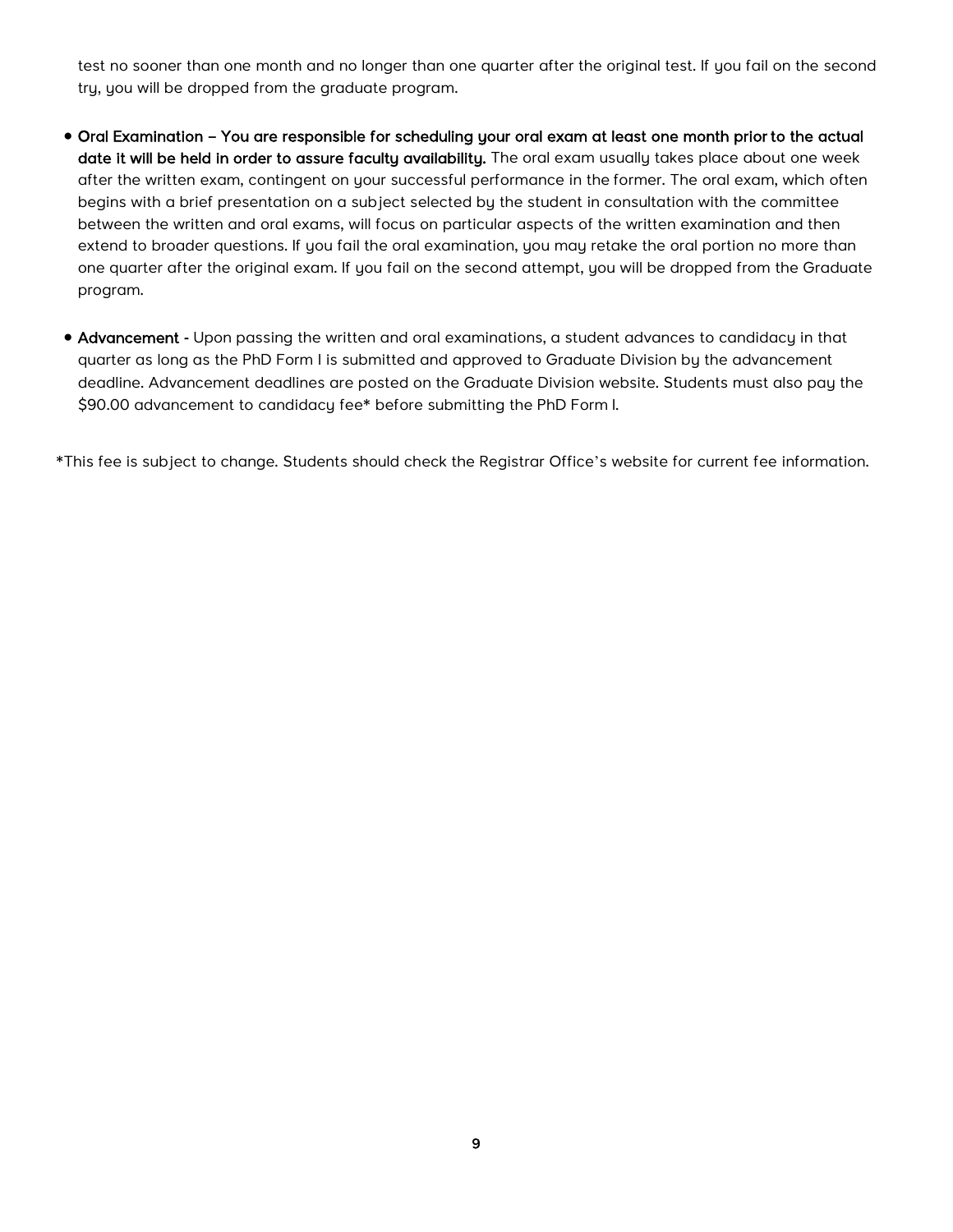test no sooner than one month and no longer than one quarter after the original test. If you fail on the second try, you will be dropped from the graduate program.

- Oral Examination You are responsible for scheduling your oral exam at least one month prior to the actual date it will be held in order to assure faculty availability. The oral exam usually takes place about one week after the written exam, contingent on your successful performance in the former. The oral exam, which often begins with a brief presentation on a subject selected by the student in consultation with the committee between the written and oral exams, will focus on particular aspects of the written examination and then extend to broader questions. If you fail the oral examination, you may retake the oral portion no more than one quarter after the original exam. If you fail on the second attempt, you will be dropped from the Graduate program.
- Advancement Upon passing the written and oral examinations, a student advances to candidacy in that quarter as long as the PhD Form I is submitted and approved to Graduate Division by the advancement deadline. Advancement deadlines are posted on the Graduate Division website. Students must also pay the \$90.00 advancement to candidacy fee\* before submitting the PhD Form I.

\*This fee is subject to change. Students should check the Registrar Office's website for current fee information.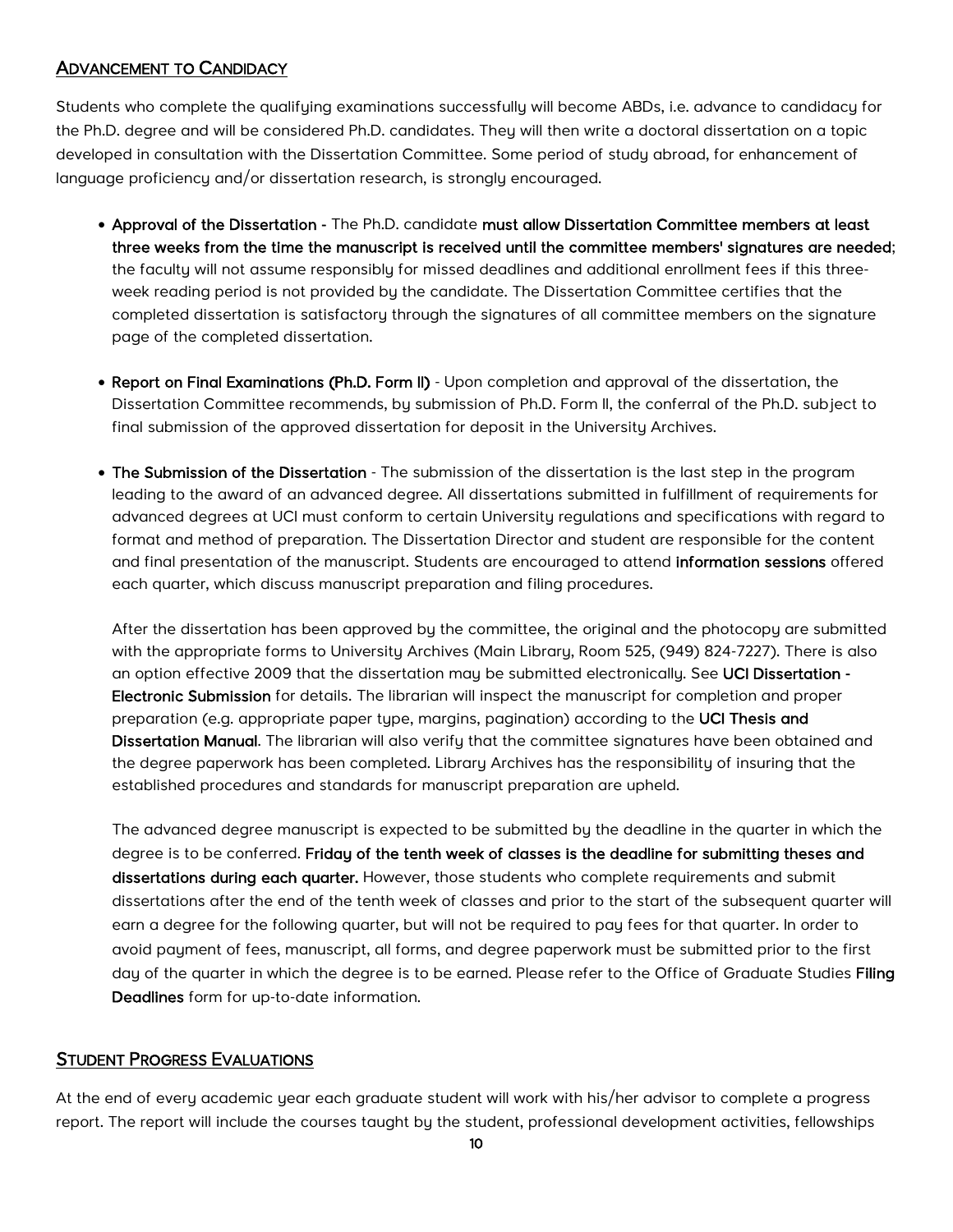#### <span id="page-10-0"></span>ADVANCEMENT TO CANDIDACY

Students who complete the qualifying examinations successfully will become ABDs, i.e. advance to candidacy for the Ph.D. degree and will be considered Ph.D. candidates. They will then write a doctoral dissertation on a topic developed in consultation with the Dissertation Committee. Some period of study abroad, for enhancement of language proficiency and/or dissertation research, is strongly encouraged.

- Approval of the Dissertation The Ph.D. candidate must allow Dissertation Committee members at least three weeks from the time the manuscript is received until the committee members' signatures are needed; the faculty will not assume responsibly for missed deadlines and additional enrollment fees if this threeweek reading period is not provided by the candidate. The Dissertation Committee certifies that the completed dissertation is satisfactory through the signatures of all committee members on the signature page of the completed dissertation.
- Report on Final Examinations (Ph.D. Form II) Upon completion and approval of the dissertation, the Dissertation Committee recommends, by submission of Ph.D. Form II, the conferral of the Ph.D. subject to final submission of the approved dissertation for deposit in the University Archives.
- The Submission of the Dissertation The submission of the dissertation is the last step in the program leading to the award of an advanced degree. All dissertations submitted in fulfillment of requirements for advanced degrees at UCI must conform to certain University regulations and specifications with regard to format and method of preparation. The Dissertation Director and student are responsible for the content and final presentation of the manuscript. Students are encouraged to attend [information sessions](http://www.rgs.uci.edu/grad/students/thesis.htm) offered each quarter, which discuss manuscript preparation and filing procedures.

After the dissertation has been approved by the committee, the original and the photocopy are submitted with the appropriate forms to University Archives (Main Library, Room 525, (949) 824-7227). There is also an option effective 2009 that the dissertation may be submitted electronically. See [UCI Dissertation -](http://www.grad.uci.edu/academics/degree-completion/electronic-submission.html)  [Electronic Submission](http://www.grad.uci.edu/academics/degree-completion/electronic-submission.html) for details. The librarian will inspect the manuscript for completion and proper preparation (e.g. appropriate paper type, margins, pagination) according to the [UCI Thesis and](http://www.lib.uci.edu/libraries/collections/special/thesis/tdmanual.html)  [Dissertation Manual.](http://www.lib.uci.edu/libraries/collections/special/thesis/tdmanual.html) The librarian will also verify that the committee signatures have been obtained and the degree paperwork has been completed. Library Archives has the responsibility of insuring that the established procedures and standards for manuscript preparation are upheld.

The advanced degree manuscript is expected to be submitted by the deadline in the quarter in which the degree is to be conferred. Friday of the tenth week of classes is the deadline for submitting theses and dissertations during each quarter. However, those students who complete requirements and submit dissertations after the end of the tenth week of classes and prior to the start of the subsequent quarter will earn a degree for the following quarter, but will not be required to pay fees for that quarter. In order to avoid payment of fees, manuscript, all forms, and degree paperwork must be submitted prior to the first day of the quarter in which the degree is to be earned. Please refer to the Office of Graduate Studies Filing [Deadlines](http://www.grad.uci.edu/academics/filing%20deadlines/) form for up-to-date information.

#### STUDENT PROGRESS EVALUATIONS

At the end of every academic year each graduate student will work with his/her advisor to complete a progress report. The report will include the courses taught by the student, professional development activities, fellowships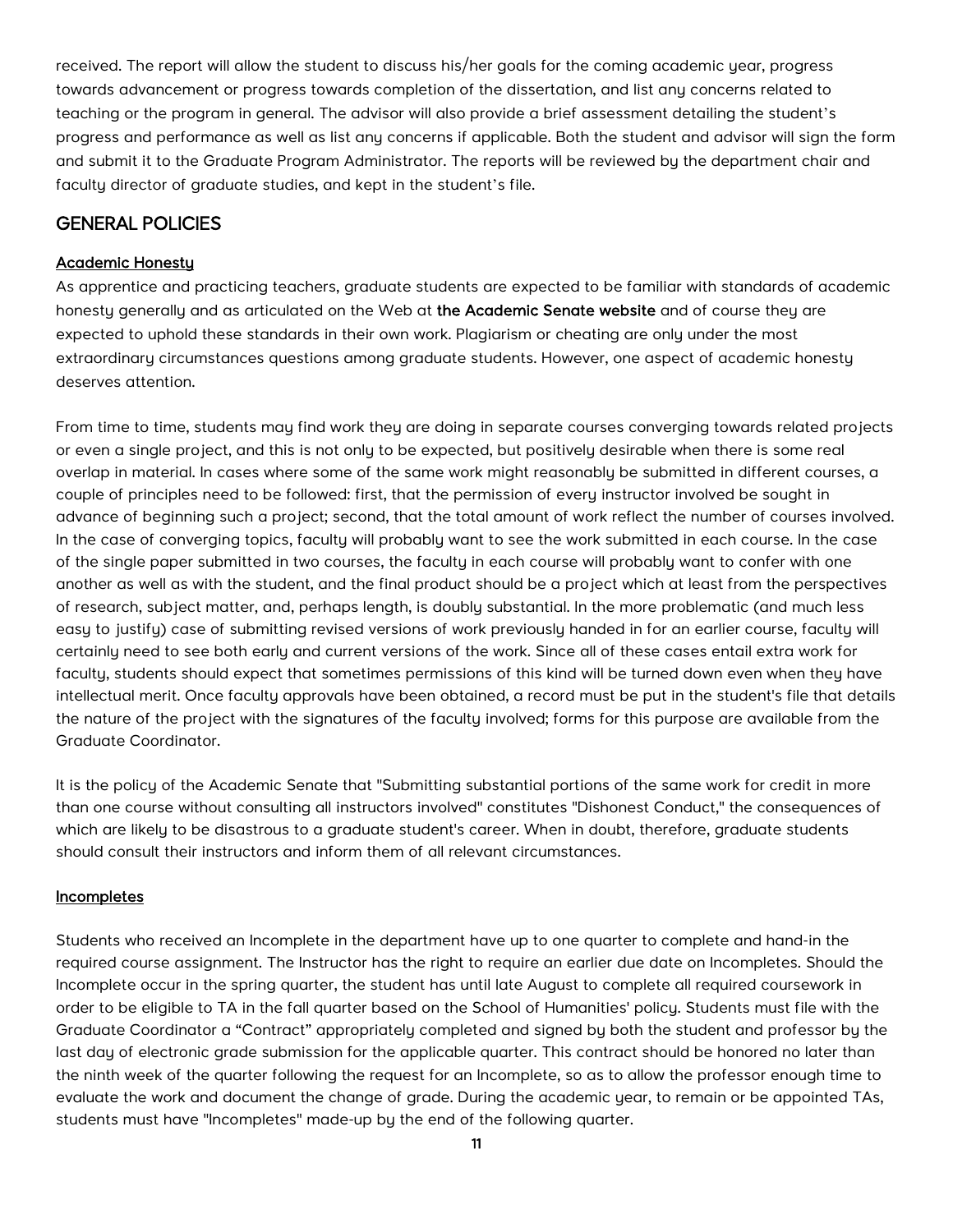<span id="page-11-0"></span>received. The report will allow the student to discuss his/her goals for the coming academic year, progress towards advancement or progress towards completion of the dissertation, and list any concerns related to teaching or the program in general. The advisor will also provide a brief assessment detailing the student's progress and performance as well as list any concerns if applicable. Both the student and advisor will sign the form and submit it to the Graduate Program Administrator. The reports will be reviewed by the department chair and faculty director of graduate studies, and kept in the student's file.

## GENERAL POLICIES

#### Academic Honesty

As apprentice and practicing teachers, graduate students are expected to be familiar with standards of academic honesty generally and as articulated on the Web at [the Academic Senate website](http://www.editor.uci.edu/catalogue/appx/appx.2.htm) and of course they are expected to uphold these standards in their own work. Plagiarism or cheating are only under the most extraordinary circumstances questions among graduate students. However, one aspect of academic honesty deserves attention.

From time to time, students may find work they are doing in separate courses converging towards related projects or even a single project, and this is not only to be expected, but positively desirable when there is some real overlap in material. In cases where some of the same work might reasonably be submitted in different courses, a couple of principles need to be followed: first, that the permission of every instructor involved be sought in advance of beginning such a project; second, that the total amount of work reflect the number of courses involved. In the case of converging topics, faculty will probably want to see the work submitted in each course. In the case of the single paper submitted in two courses, the faculty in each course will probably want to confer with one another as well as with the student, and the final product should be a project which at least from the perspectives of research, subject matter, and, perhaps length, is doubly substantial. In the more problematic (and much less easy to justify) case of submitting revised versions of work previously handed in for an earlier course, faculty will certainly need to see both early and current versions of the work. Since all of these cases entail extra work for faculty, students should expect that sometimes permissions of this kind will be turned down even when they have intellectual merit. Once faculty approvals have been obtained, a record must be put in the student's file that details the nature of the project with the signatures of the faculty involved; forms for this purpose are available from the Graduate Coordinator.

It is the policy of the Academic Senate that "Submitting substantial portions of the same work for credit in more than one course without consulting all instructors involved" constitutes "Dishonest Conduct," the consequences of which are likely to be disastrous to a graduate student's career. When in doubt, therefore, graduate students should consult their instructors and inform them of all relevant circumstances.

#### **Incompletes**

Students who received an Incomplete in the department have up to one quarter to complete and hand-in the required course assignment. The Instructor has the right to require an earlier due date on Incompletes. Should the Incomplete occur in the spring quarter, the student has until late August to complete all required coursework in order to be eligible to TA in the fall quarter based on the School of Humanities' policy. Students must file with the Graduate Coordinator a "Contract" appropriately completed and signed by both the student and professor by the last day of electronic grade submission for the applicable quarter. This contract should be honored no later than the ninth week of the quarter following the request for an Incomplete, so as to allow the professor enough time to evaluate the work and document the change of grade. During the academic year, to remain or be appointed TAs, students must have "Incompletes" made-up by the end of the following quarter.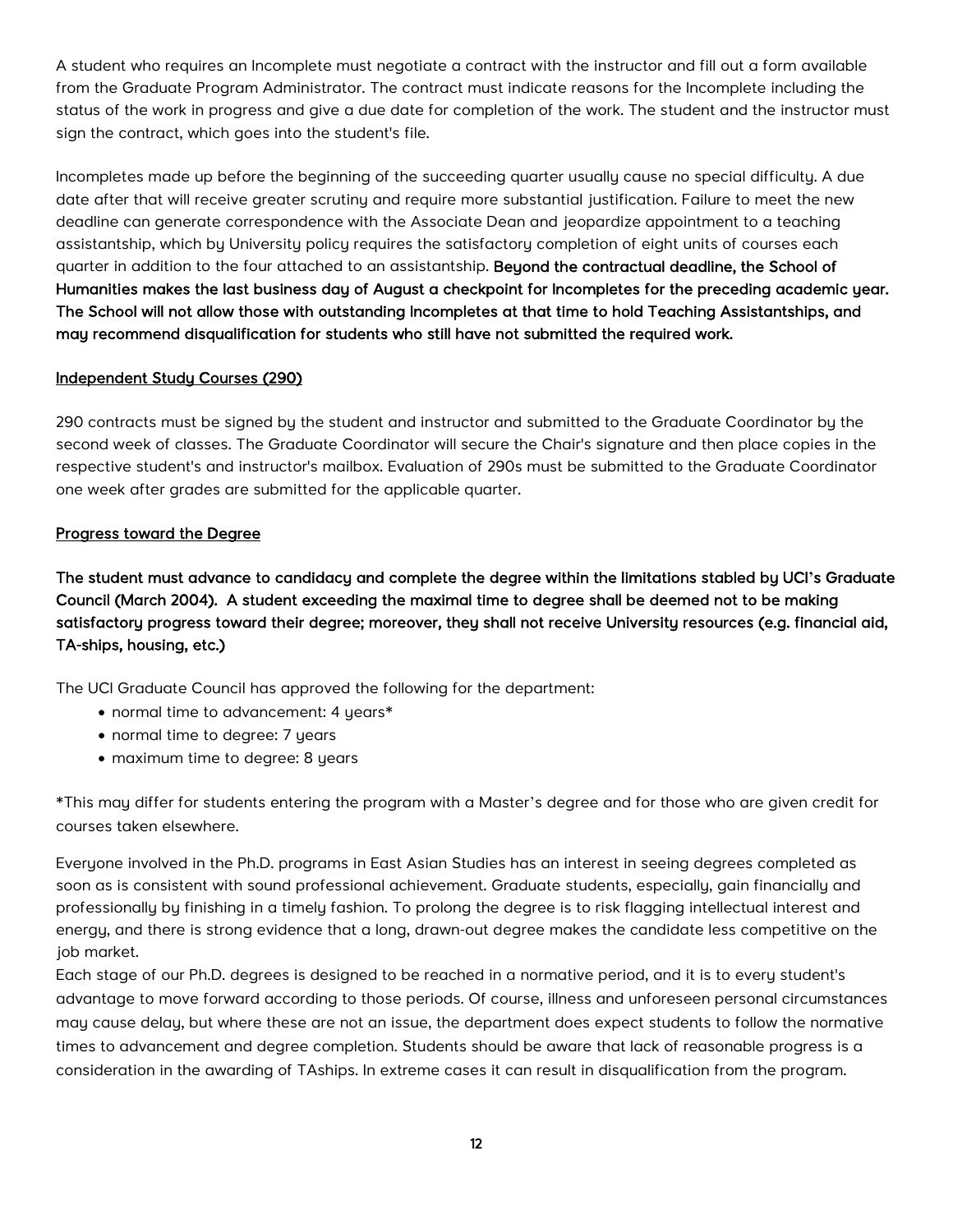<span id="page-12-0"></span>A student who requires an Incomplete must negotiate a contract with the instructor and fill out a form available from the Graduate Program Administrator. The contract must indicate reasons for the Incomplete including the status of the work in progress and give a due date for completion of the work. The student and the instructor must sign the contract, which goes into the student's file.

Incompletes made up before the beginning of the succeeding quarter usually cause no special difficulty. A due date after that will receive greater scrutiny and require more substantial justification. Failure to meet the new deadline can generate correspondence with the Associate Dean and jeopardize appointment to a teaching assistantship, which by University policy requires the satisfactory completion of eight units of courses each quarter in addition to the four attached to an assistantship. Beyond the contractual deadline, the School of Humanities makes the last business day of August a checkpoint for Incompletes for the preceding academic year. The School will not allow those with outstanding Incompletes at that time to hold Teaching Assistantships, and may recommend disqualification for students who still have not submitted the required work.

#### Independent Study Courses (290)

290 contracts must be signed by the student and instructor and submitted to the Graduate Coordinator by the second week of classes. The Graduate Coordinator will secure the Chair's signature and then place copies in the respective student's and instructor's mailbox. Evaluation of 290s must be submitted to the Graduate Coordinator one week after grades are submitted for the applicable quarter.

#### Progress toward the Degree

The student must advance to candidacy and complete the degree within the limitations stabled by UCI**'**s Graduate Council (March 2004). A student exceeding the maximal time to degree shall be deemed not to be making satisfactory progress toward their degree; moreover, they shall not receive University resources (e.g. financial aid, TA-ships, housing, etc.)

The UCI Graduate Council has approved the following for the department:

- normal time to advancement: 4 years\*
- normal time to degree: 7 years
- maximum time to degree: 8 years

\*This may differ for students entering the program with a Master's degree and for those who are given credit for courses taken elsewhere.

Everyone involved in the Ph.D. programs in East Asian Studies has an interest in seeing degrees completed as soon as is consistent with sound professional achievement. Graduate students, especially, gain financially and professionally by finishing in a timely fashion. To prolong the degree is to risk flagging intellectual interest and energy, and there is strong evidence that a long, drawn-out degree makes the candidate less competitive on the job market.

Each stage of our Ph.D. degrees is designed to be reached in a normative period, and it is to every student's advantage to move forward according to those periods. Of course, illness and unforeseen personal circumstances may cause delay, but where these are not an issue, the department does expect students to follow the normative times to advancement and degree completion. Students should be aware that lack of reasonable progress is a consideration in the awarding of TAships. In extreme cases it can result in disqualification from the program.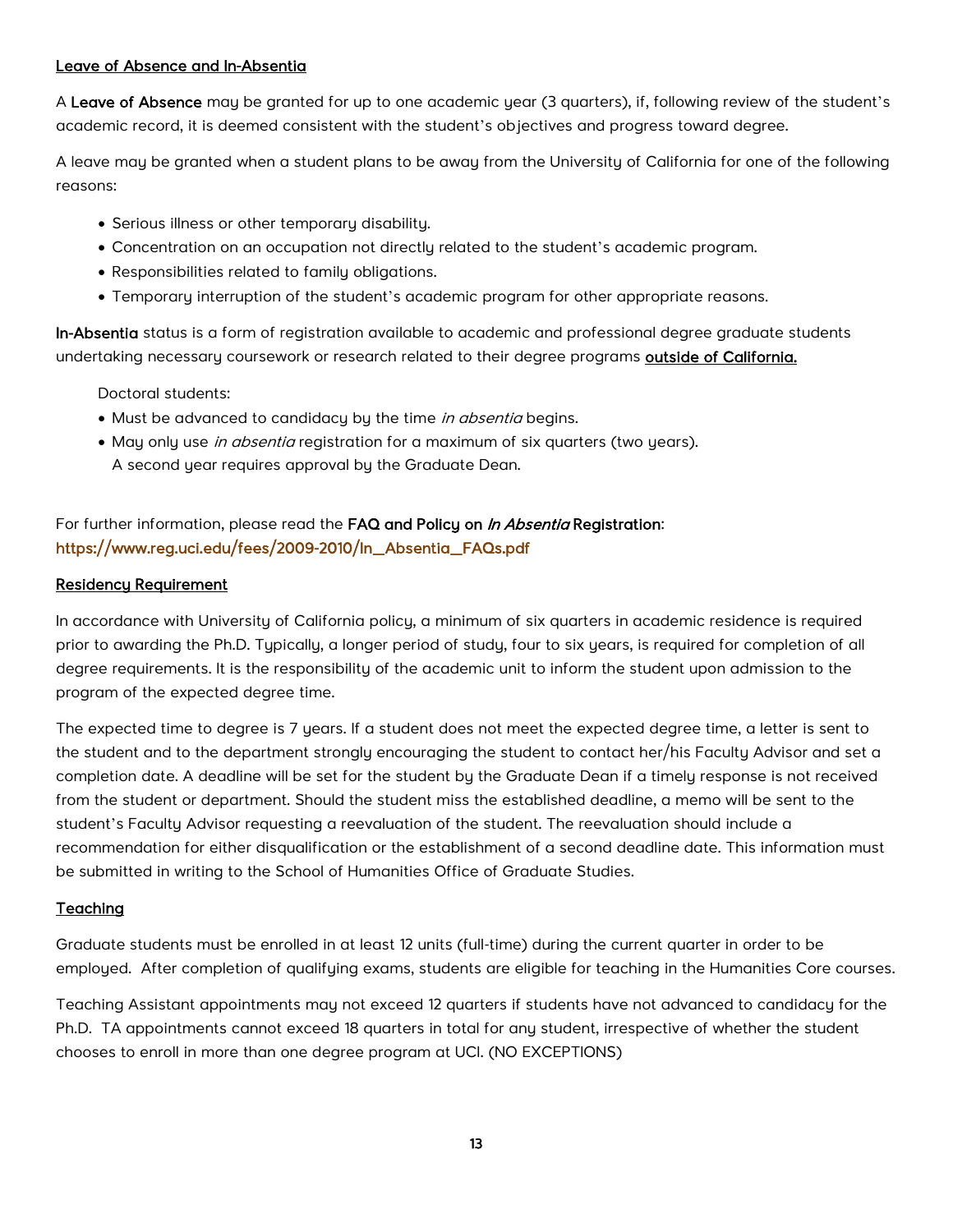#### <span id="page-13-0"></span>Leave of Absence and In-Absentia

A Leave of Absence may be granted for up to one academic year (3 quarters), if, following review of the student's academic record, it is deemed consistent with the student's objectives and progress toward degree.

A leave may be granted when a student plans to be away from the University of California for one of the following reasons:

- Serious illness or other temporary disability.
- Concentration on an occupation not directly related to the student's academic program.
- Responsibilities related to family obligations.
- Temporary interruption of the student's academic program for other appropriate reasons.

In-Absentia status is a form of registration available to academic and professional degree graduate students undertaking necessary coursework or research related to their degree programs outside of California.

Doctoral students:

- Must be advanced to candidacy by the time in absentia begins.
- May only use *in absentia* registration for a maximum of six quarters (two years). A second year requires approval by the Graduate Dean.

## For further information, please read the [FAQ and Policy on](http://www.reg.uci.edu/fees/2009-2010/In_Absentia_FAQs.pdf) In Absentia Registration: [https://www.reg.uci.edu/fees/2009-2010/In\\_Absentia\\_FAQs.pdf](https://www.reg.uci.edu/fees/2009-2010/In_Absentia_FAQs.pdf)

#### Residency Requirement

In accordance with University of California policy, a minimum of six quarters in academic residence is required prior to awarding the Ph.D. Typically, a longer period of study, four to six years, is required for completion of all degree requirements. It is the responsibility of the academic unit to inform the student upon admission to the program of the expected degree time.

The expected time to degree is 7 years. If a student does not meet the expected degree time, a letter is sent to the student and to the department strongly encouraging the student to contact her/his Faculty Advisor and set a completion date. A deadline will be set for the student by the Graduate Dean if a timely response is not received from the student or department. Should the student miss the established deadline, a memo will be sent to the student's Faculty Advisor requesting a reevaluation of the student. The reevaluation should include a recommendation for either disqualification or the establishment of a second deadline date. This information must be submitted in writing to the School of Humanities Office of Graduate Studies.

#### Teaching

Graduate students must be enrolled in at least 12 units (full-time) during the current quarter in order to be employed. After completion of qualifying exams, students are eligible for teaching in the Humanities Core courses.

Teaching Assistant appointments may not exceed 12 quarters if students have not advanced to candidacy for the Ph.D. TA appointments cannot exceed 18 quarters in total for any student, irrespective of whether the student chooses to enroll in more than one degree program at UCI. (NO EXCEPTIONS)